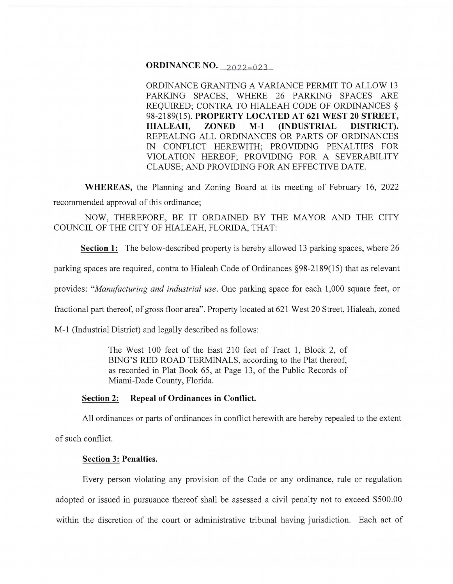## **ORDINANCE NO.** 2022-023

ORDINANCE GRANTING A VARIANCE PERMIT TO ALLOW 13 PARKING SPACES, WHERE 26 PARKING SPACES ARE REQUIRED; CONTRA TO HIALEAH CODE OF ORDINANCES § 98-2189(15). **PROPERTY LOCATED AT 621WEST20 STREET, HIALEAH, ZONED M-1 (INDUSTRIAL DISTRICT}.**  REPEALING ALL ORDINANCES OR PARTS OF ORDINANCES IN CONFLICT HEREWITH; PROVIDING PENALTIES FOR VIOLATION HEREOF; PROVIDING FOR A SEVERABILITY CLAUSE; AND PROVIDING FOR AN EFFECTIVE DATE.

**WHEREAS,** the Planning and Zoning Board at its meeting of February 16, 2022 recommended approval of this ordinance;

NOW, THEREFORE, BE IT ORDAINED BY THE MAYOR AND THE CITY COUNCIL OF THE CITY OF HIALEAH, FLORIDA, THAT:

**Section 1:** The below-described property is hereby allowed 13 parking spaces, where 26

parking spaces are required, contra to Hialeah Code of Ordinances §98-2189(15) that as relevant

provides: *"Manufacturing and industrial use.* One parking space for each 1,000 square feet, or

fractional part thereof, of gross floor area". Property located at 621 West 20 Street, Hialeah, zoned

M-1 (Industrial District) and legally described as follows:

The West 100 feet of the East 210 feet of Tract 1, Block 2, of BING'S RED ROAD TERMINALS, according to the Plat thereof, as recorded in Plat Book 65, at Page 13, of the Public Records of Miami-Dade County, Florida.

### **Section 2: Repeal of Ordinances in Conflict.**

All ordinances or parts of ordinances in conflict herewith are hereby repealed to the extent

of such conflict.

#### **Section 3: Penalties.**

Every person violating any provision of the Code or any ordinance, rule or regulation adopted or issued in pursuance thereof shall be assessed a civil penalty not to exceed \$500.00 within the discretion of the court or administrative tribunal having jurisdiction. Each act of